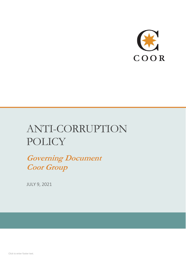

# ANTI-CORRUPTION **POLICY**

**Governing Document Coor Group**

JULY 9, 2021

Click to enter footer text.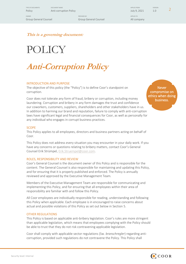TYPE OF DOCUMENTS CONFORT NAME ARRESTS ON A SERVER SERVER OF DESCRIPTION OF A SERVER SERVER OF DESIGNATION OF A SERVERSION Preference and the community of the corruption Policy and the corruption Policy July 9, 2021 1.0 2

OWNER PREPARED BY APPLIES TO Group General Counsel Group General Counsel All company

**This is a governing document:**

# POLICY

# **Anti-Corruption Policy**

#### INTRODUCTION AND PURPOSE

The objective of this policy (the "Policy") is to define Coor's standpoint on corruption.

Coor does not tolerate any form of fraud, bribery or corruption, including money laundering. Corruption and bribery in any form damages the trust and confidence our coworkers, customers, suppliers, shareholders and other stakeholders have in us. In addition to harming our brand and reputation, failure to comply with anti-corruption laws have significant legal and financial consequences for Coor, as well as personally for any individual who engages in corrupt business practices.

#### **SCOPE**

This Policy applies to all employees, directors and business partners acting on behalf of Coor.

This Policy does not address every situation you may encounter in your daily work. If you have any concerns or questions relating to bribery matters, contact Coor's General Counsel Erik Strümpel, [Erik.Struempel@coor.com.](mailto:Erik.Struempel@coor.com)

#### ROLES, RESPONSIBILITY AND REVIEW

Coor's General Counsel is the document owner of this Policy and is responsible for the content. The General Counsel is also responsible for maintaining and updating this Policy, and for ensuring that it is properly published and enforced. The Policy is annually reviewed and approved by the Executive Management Team.

Members of the Executive Management Team are responsible for communicating and implementing this Policy, and for ensuring that all employees within their area of responsibility are familiar with and follow this Policy.

All Coor employees are individually responsible for reading, understanding and following this Policy when applicable. Each employee is in encouraged to raise concerns about actual and possible violations of this Policy as set out below in Section [5.](#page-7-0)

#### OTHER REGULATIONS

This Policy is based on applicable anti-bribery legislation. Coor's rules are more stringent than applicable legislation, which means that employees complying with the Policy should be able to trust that they do not risk contravening applicable legislation.

Coor shall comply with applicable sector regulations (Sw. *branschregler*) regarding anticorruption, provided such regulations do not contravene the Policy. This Policy shall

Never compromise on ethics when doing business.

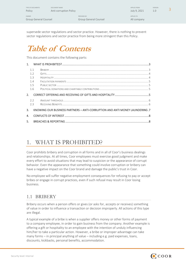| TYPE OF DOCUMENTS<br>Policy           | DOCUMENT NAME<br>Anti-corruption Policy |                                      | APPLIES FROM<br>July 9, 2021 | <b>VERSION</b><br>1.0 |  |
|---------------------------------------|-----------------------------------------|--------------------------------------|------------------------------|-----------------------|--|
| <b>OWNER</b><br>Group General Counsel |                                         | PREPARED BY<br>Group General Counsel | APPLIES TO<br>All company    |                       |  |

supersede sector regulations and sector practice. However, there is nothing to prevent sector regulations and sector practice from being more stringent than this Policy.

# **Table of Contents**

This document contains the following parts:

| 1 <sup>1</sup> |     |                                                                              |  |
|----------------|-----|------------------------------------------------------------------------------|--|
|                | 1.1 |                                                                              |  |
|                | 1.2 |                                                                              |  |
|                | 1.3 |                                                                              |  |
|                | 1.4 |                                                                              |  |
|                | 1.5 |                                                                              |  |
|                | 1.6 |                                                                              |  |
| 2.             |     |                                                                              |  |
|                | 2.2 |                                                                              |  |
|                | 2.3 |                                                                              |  |
| 3.             |     | KNOWING OUR BUSINESS PARTNERS - ANTI-CORRUPTION AND ANTI MONEY LAUNDERING .7 |  |
| 4.             |     |                                                                              |  |
| 5.             |     |                                                                              |  |

# <span id="page-2-0"></span>1. WHAT IS PROHIBITED?

Coor prohibits bribery and corruption in all forms and in all of Coor's business dealings and relationships. At all times, Coor employees must exercise good judgment and make every effort to avoid situations that may lead to suspicion or the appearance of corrupt behavior. Even the appearance that something could involve corruption or bribery can have a negative impact on the Coor brand and damage the public's trust in Coor.

No employee will suffer negative employment consequences for refusing to pay or accept bribes or engage in corrupt practices, even if such refusal may result in Coor losing business.

## <span id="page-2-1"></span>1.1 BRIBERY

Bribery occurs when a person offers or gives (or asks for, accepts or receives) something of value in order to influence a transaction or decision improperly. All actions of this type are illegal.

A typical example of a bribe is when a supplier offers money or other forms of payment to a company employee, in order to gain business from the company. Another example is offering a gift or hospitality to an employee with the intention of unduly influencing him/her to take a particular action. However, a bribe or improper advantage can take many forms – in principal anything of value – including e.g. paid expenses, loans, discounts, kickbacks, personal benefits, accommodation.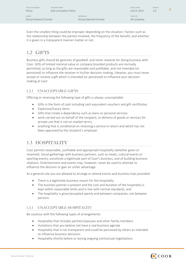| TYPE OF DOCUMENTS<br>Policy           | DOCUMENT NAME<br>Anti-corruption Policy |                                      | APPLIES FROM<br>July 9, 2021 | <b>VERSION</b><br>1.0 <sub>1</sub> |  |
|---------------------------------------|-----------------------------------------|--------------------------------------|------------------------------|------------------------------------|--|
| <b>OWNER</b><br>Group General Counsel |                                         | PREPARED BY<br>Group General Counsel | APPLIES TO<br>All company    |                                    |  |

Even the smallest thing could be improper depending on the situation. Factors such as the relationship between the parties involved, the frequency of the benefit, and whether it is given in a transparent manner matter or not.

### <span id="page-3-0"></span>1.2 GIFTS

Business gifts should be gestures of goodwill, and never rewards for doing business with Coor. Gifts of limited nominal value or company branded products are normally permitted, as long as the gifts are reasonable and justifiable, and not intended (or perceived) to influence the receiver in his/her decision-making. Likewise, you must never accept or receive a gift which is intended (or perceived) to influence your decisionmaking at Coor.

#### <span id="page-3-2"></span>1.2.1 UNACCEPTABLE GIFTS

Offering or receiving the following type of gifts is always unacceptable:

- Gifts in the form of cash including cash equivalent vouchers and gift certificates
- Expensive/luxury items
- Gifts that create a dependency such as loans or personal services
- work carried out on behalf of the recipient, or delivery of goods or services for private use that is not on market terms,
- anything that is conditional on receiving a service in return and which has not been approved by the recipient's employer.

## <span id="page-3-1"></span>1.3 HOSPITALITY

Coor permits reasonable, justifiable and appropriate hospitality (whether given or received). Social gatherings with business partners, such as meals, cultural events or sporting events, constitute a legitimate part of Coor's business, and of building business relations. Entertainment and events may, however, never be used to attempt to influence the decision or gain an unfair advantage.

As a general rule you are allowed to arrange or attend events and business trips provided:

- There is a legitimate business reason for the hospitality
- The business partner is present and the cost and duration of the hospitality is kept within reasonable limits and in line with normal standards, and
- The hospitality is given/accepted openly and between companies, not between persons.

#### <span id="page-3-3"></span>1.3.1 UNACCEPTABLE HOSPITALITY

Be cautious with the following types of arrangements:

- Hospitality that includes partners/spouses and other family members
- Invitations that you believe not have a real business agenda
- Hospitality that is not transparent and could be perceived by others as intended to influence business decisions
- Hospitality shortly before or during ongoing contractual negotiations

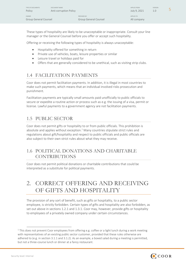| TYPE OF DOCUMENTS<br>Policy           | DOCUMENT NAME<br>Anti-corruption Policy |                                      | APPLIES FROM<br>July 9, 2021 | <b>VERSION</b><br>1.0 |  |
|---------------------------------------|-----------------------------------------|--------------------------------------|------------------------------|-----------------------|--|
| <b>OWNER</b><br>Group General Counsel |                                         | PREPARED BY<br>Group General Counsel | APPLIES TO<br>All company    |                       |  |

These types of hospitality are likely to be unacceptable or inappropriate. Consult your line manager or the General Counsel before you offer or accept such hospitality.

Offering or receiving the following types of hospitality is always unacceptable:

- Hospitality offered for something in return
- Private use of vehicles, boats, leisure properties or similar
- Leisure travel or holidays paid for
- Offers that are generally considered to be unethical, such as visiting strip clubs.

# <span id="page-4-0"></span>1.4 FACILITATION PAYMENTS

Coor does not permit facilitation payments. In addition, it is illegal in most countries to make such payments, which means that an individual involved risks prosecution and punishment.

Facilitation payments are typically small amounts paid unofficially to public officials to secure or expedite a routine action or process such as e.g. the issuing of a visa, permit or license. Lawful payments to a government agency are not facilitation payments.

# <span id="page-4-1"></span>1.5 PUBLIC SECTOR

Coor does not permit gifts or hospitality to or from public officials. This prohibition is absolute and applies without exception.<sup>1</sup> Many countries stipulate strict rules and regulations about gift/hospitality and respect to public officials and public officials are also subject to their own strict rules about what they may receive.

# <span id="page-4-2"></span>1.6 POLITICAL DONATIONS AND CHARITABLE CONTRIBUTIONS

Coor does not permit political donations or charitable contributions that could be interpreted as a substitute for political payments.

# <span id="page-4-3"></span>2. CORRECT OFFERING AND RECEIVING OF GIFTS AND HOSPITALITY

The provision of any sort of benefit, such as gifts or hospitality, to a public sector employee, is strictly forbidden. Certain types of gifts and hospitality are also forbidden, as set out above in sections [1.2.1](#page-3-2) an[d 1.3.1.](#page-3-3) Coor may, however, provide gifts or hospitality to employees of a privately owned company under certain circumstances.

<sup>&</sup>lt;sup>1</sup> This does not prevent Coor employees from offering e.g. coffee or a light lunch during a work meeting with representatives of an existing public sector customer, provided that these rules otherwise are adhered to (e.g. in section 3.1.1 and 3.1.2). As an example, a boxed salad during a meeting is permitted, but not a three-course lunch or dinner at a fancy restaurant.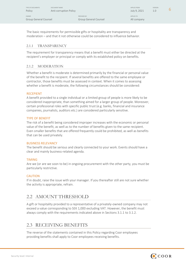| TYPE OF DOCUMENTS | DOCUMENT NAME          |             | APPLIES FROM | <b>VERSION</b> |  |
|-------------------|------------------------|-------------|--------------|----------------|--|
| Policy            | Anti-corruption Policy |             | July 9, 2021 |                |  |
| <b>OWNER</b>      |                        | PREPARED BY | APPLIES TO   |                |  |

Group General Counsel Group General Counsel All company

The basic requirements for permissible gifts or hospitality are transparency and moderation – and that it not otherwise could be considered to influence behavior.

#### 2.1.1 TRANSPARENCY

The requirement for transparency means that a benefit must either be directed at the recipient's employer or principal or comply with its established policy on benefits.

#### 2.1.2 MODERATION

Whether a benefit is moderate is determined primarily by the financial or personal value of the benefit to the recipient. If several benefits are offered to the same employee or contractor, those benefits must be assessed in context. When it comes to assessing whether a benefit is moderate, the following circumstances should be considered:

#### RECEPIENT

A benefit provided to a single individual or a limited group of people is more likely to be considered inappropriate, than something aimed for a larger group of people. Moreover, certain professional roles with specific public trust (e.g. banks, financial and insurance companies, journalists, auditors etc.) are considered particularly sensitive.

#### TYPE OF BENEFIT

The risk of a benefit being considered improper increases with the economic or personal value of the benefit, as well as to the number of benefits given to the same recipient. Even smaller benefits that are offered frequently could be prohibited, as well as benefits that can be used privately.

#### BUSINESS RELEVANCY

The benefit should be serious and clearly connected to your work. Events should have a clear and mainly business-related agenda.

#### TIMING

Are we (or are we soon to be) in ongoing procurement with the other party, you must be particularly restrictive.

#### CAUTION

If in doubt, raise the issue with your manager. If you thereafter still are not sure whether the activity is appropriate, refrain.

# <span id="page-5-0"></span>2.2 AMOUNT THRESHOLD

A gift or hospitality provided to a representative of a privately-owned company may not exceed a value corresponding to SEK 1,000 excluding VAT. However, the benefit must always comply with the requirements indicated above in Sections 3.1.1 to 3.1.2.

# <span id="page-5-1"></span>2.3 RECEIVING BENEFITS

The reverse of the statements contained in this Policy regarding Coor employees providing benefits shall apply to Coor employees receiving benefits.

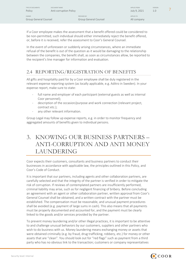| TYPE OF DOCUMENTS<br>Policy           | DOCUMENT NAME<br>Anti-corruption Policy |                                      | APPLIES FROM<br>July 9, 2021 | <b>VERSION</b><br>1.0 |  |
|---------------------------------------|-----------------------------------------|--------------------------------------|------------------------------|-----------------------|--|
| <b>OWNER</b><br>Group General Counsel |                                         | PREPARED BY<br>Group General Counsel | APPLIES TO<br>All company    |                       |  |

If a Coor employee makes the assessment that a benefit offered could be considered to be non-permitted, such individual should either immediately reject the benefit offered, or, before it is received, refer the assessment to Coor's General Counsel.

In the event of unforeseen or suddenly arising circumstances, where an immediate refusal of the benefit is out of the question as it would be damaging to the relationship between the companies, the benefit shall, as soon as circumstances allow, be reported to the recipient's line manager for information and evaluation.

# 2.4 REPORTING/REGISTRATION OF BENEFITS

All gifts and hospitality paid for by a Coor employee shall be duly registered in the relevant expense reporting system (as locally applicable, e.g. Aditro in Sweden). In your expense report, make sure to state:

- full name and employer of each participant (external guests as well as internal Coor personnel);
- description of the occasion/purpose and work connection (relevant project, contract etc.);
- any other relevant information.

Group Legal may follow up expense reports, e.g. in order to monitor frequency and aggregated amounts of benefits given to individual persons.

# <span id="page-6-0"></span>3. KNOWING OUR BUSINESS PARTNERS – ANTI-CORRUPTION AND ANTI MONEY LAUNDERING

Coor expects their customers, consultants and business partners to conduct their businesses in accordance with applicable law, the principles outlined in this Policy, and Coor's Code of Conduct.

It is important that our partners, including agents and other collaboration partners, are carefully selected and that the integrity of the partner is verified in order to mitigate the risk of corruption. If reviews of contemplated partners are insufficiently performed, criminal liability may arise, such as for negligent financing of bribery. Before concluding an agreement with an agent or other collaboration partner, written approval from Coor's General Counsel shall be obtained, and a written contract with the partner must be established. The compensation must be reasonable, and unusual payment procedures shall be avoided (e.g. payment of large sums in cash). This also means that all payments must be properly documented and accounted for, and the payment must be clearly linked to the goods and/or services provided by the partner.

To prevent money laundering and/or other illegal practices, it is important to be attentive to and challenge unusual behaviors by our customers, suppliers and other partners who wish to do business with us. Money laundering means exchanging money or assets that were obtained criminally (e.g. by fraud, drug trafficking, robbery, etc.) for money or other assets that are "clean". You should look out for "red flags" such as payment from a third party who has no obvious link to the transaction; customers or company representatives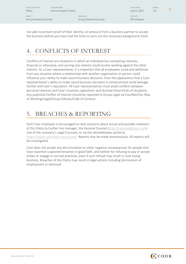TYPE OF DOCUMENTS CONFORT NAME ARRESTS ON A SERVER SERVER OF DESCRIPTION OF A SERVER SERVER OF DESIGNATION OF A SERVERSION

OWNER PREPARED BY APPLIES TO Group General Counsel Group General Counsel All company

Present Collection Collection Policy Anti-corruption Policy July 9, 2021 1.0 8

not able to present proof of their identity; or pressure from a business partner to accept the business before you have had the time to carry out the necessary background check.

# <span id="page-7-1"></span>4. CONFLICTS OF INTEREST

Conflicts of interest are situations in which an individual has competing interests, financial or otherwise, and serving one interest could involve working against the other interest. As a Coor representative, it is important that all employees avoid and withdraw from any situation where a relationship with another organization or person could influence your ability to make sound business decisions. Even the appearance that a Coor representative's ability to make sound business decisions is compromised could damage his/her and Coor's reputation. All Coor representatives must avoid conflicts between personal interests and Coor's business operations and disclose those kinds of situations. Any potential Conflict of Interest should be reported to Group Legal via CoorNet/Our Way of Working/Legal/Group Policies/Code of Conduct.

# <span id="page-7-0"></span>5. BREACHES & REPORTING

Each Coor employee is encouraged to raise concerns about actual and possible violations of this Policy to his/her line manager, the General Counsel [\(Eriks.Struempel@coor.com\)](mailto:Eriks.Struempel@coor.com) one of the company's Legal Counsels, or via the whistleblower portal at [https://report.whistleb.com/sv/coor.](https://report.whistleb.com/sv/coor) Reports may be made anonymously. All reports will be investigated.

Coor does not accept any discrimination or other negative consequences for people that have reported suspected breaches in good faith, and neither for refusing to pay or accept bribes or engage in corrupt practices, even if such refusal may result in Coor losing business. Breaches of this Policy may result in legal actions including termination of employment or dismissal.